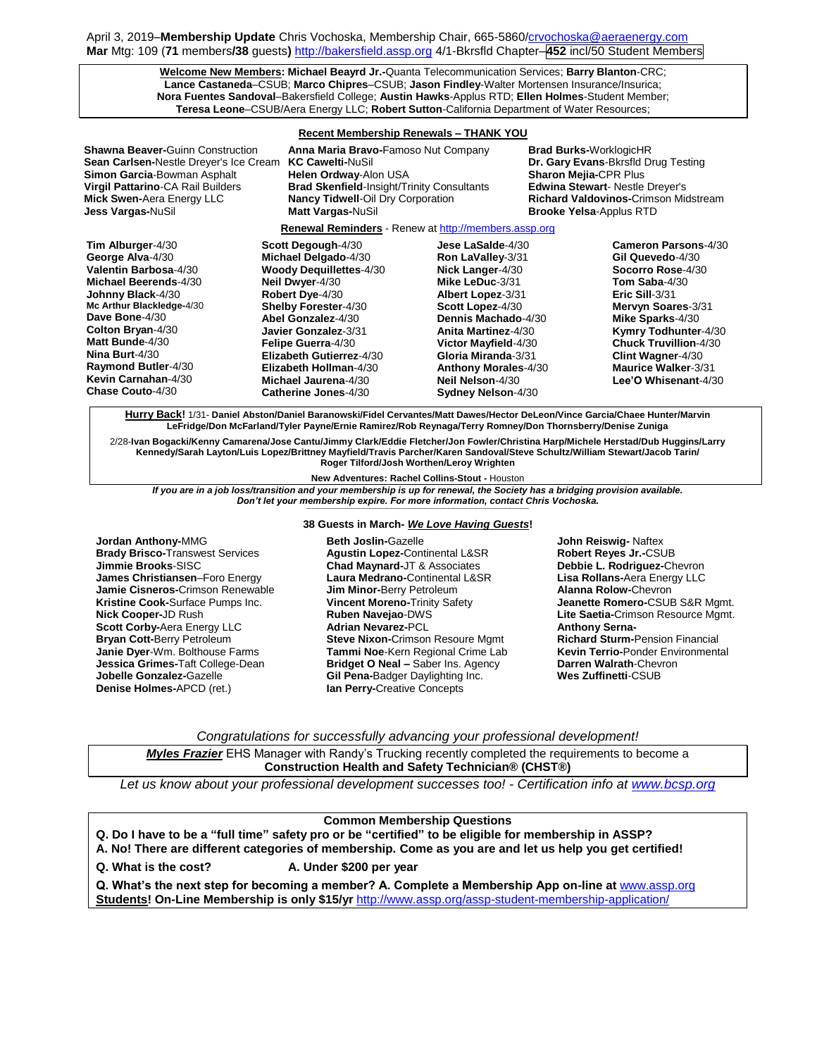April 3, 2019–**Membership Update** Chris Vochoska, Membership Chair, 665-5860[/crvochoska@aeraenergy.com](mailto:crvochoska@aeraenergy.com) **Mar** Mtg: 109 (**71** members**/38** guests**)** [http://bakersfield.assp.org](http://bakersfield.assp.org/) 4/1-Bkrsfld Chapter–**452** incl/50 Student Members

> **Welcome New Members: Michael Beayrd Jr.-**Quanta Telecommunication Services; **Barry Blanton**-CRC; **Lance Castaneda**–CSUB; **Marco Chipres**–CSUB; **Jason Findley**-Walter Mortensen Insurance/Insurica; **Nora Fuentes Sandoval**–Bakersfield College; **Austin Hawks**-Applus RTD; **Ellen Holmes**-Student Member; **Teresa Leone**–CSUB/Aera Energy LLC; **Robert Sutton**-California Department of Water Resources;

## **Recent Membership Renewals – THANK YOU**

| <b>Shawna Beaver-Guinn Construction</b><br><b>Sean Carlsen-Nestle Dreyer's Ice Cream</b><br>Simon Garcia-Bowman Asphalt<br>Virgil Pattarino-CA Rail Builders<br><b>Mick Swen-Aera Energy LLC</b><br>Jess Vargas-NuSil                                                                          | Anna Maria Bravo-Famoso Nut Company<br><b>KC Cawelti-NuSil</b><br>Helen Ordway-Alon USA<br><b>Brad Skenfield-Insight/Trinity Consultants</b><br><b>Nancy Tidwell-Oil Dry Corporation</b><br>Matt Vargas-NuSil                                                                                                        |                                                                                                                                                                                                                                                                                                            | <b>Brad Burks-</b> WorklogicHR<br><b>Sharon Mejia-CPR Plus</b><br><b>Edwina Stewart-Nestle Dreyer's</b><br><b>Brooke Yelsa-Applus RTD</b> | Dr. Gary Evans-Bkrsfld Drug Testing<br><b>Richard Valdovinos-Crimson Midstream</b>                                                                                                                                                                                                             |  |
|------------------------------------------------------------------------------------------------------------------------------------------------------------------------------------------------------------------------------------------------------------------------------------------------|----------------------------------------------------------------------------------------------------------------------------------------------------------------------------------------------------------------------------------------------------------------------------------------------------------------------|------------------------------------------------------------------------------------------------------------------------------------------------------------------------------------------------------------------------------------------------------------------------------------------------------------|-------------------------------------------------------------------------------------------------------------------------------------------|------------------------------------------------------------------------------------------------------------------------------------------------------------------------------------------------------------------------------------------------------------------------------------------------|--|
| <b>Renewal Reminders</b> - Renew at http://members.assp.org                                                                                                                                                                                                                                    |                                                                                                                                                                                                                                                                                                                      |                                                                                                                                                                                                                                                                                                            |                                                                                                                                           |                                                                                                                                                                                                                                                                                                |  |
| Tim Alburger-4/30<br>George Alva-4/30<br>Valentin Barbosa-4/30<br>Michael Beerends-4/30<br>Johnny Black-4/30<br>Mc Arthur Blackledge-4/30<br>Dave Bone-4/30<br>Colton Bryan-4/30<br>Matt Bunde-4/30<br>Nina Burt-4/30<br><b>Raymond Butler-4/30</b><br>Kevin Carnahan-4/30<br>Chase Couto-4/30 | Scott Degough-4/30<br>Michael Delgado-4/30<br><b>Woody Dequillettes-4/30</b><br>Neil Dwyer-4/30<br>Robert Dye-4/30<br>Shelby Forester-4/30<br>Abel Gonzalez-4/30<br>Javier Gonzalez-3/31<br>Felipe Guerra-4/30<br>Elizabeth Gutierrez-4/30<br>Elizabeth Hollman-4/30<br>Michael Jaurena-4/30<br>Catherine Jones-4/30 | <b>Jese LaSalde-4/30</b><br>Ron LaValley-3/31<br>Nick Langer-4/30<br>Mike LeDuc-3/31<br><b>Albert Lopez-3/31</b><br>Scott Lopez-4/30<br>Dennis Machado-4/30<br>Anita Martinez-4/30<br>Victor Mayfield-4/30<br>Gloria Miranda-3/31<br><b>Anthony Morales-4/30</b><br>Neil Nelson-4/30<br>Sydney Nelson-4/30 |                                                                                                                                           | <b>Cameron Parsons-4/30</b><br>Gil Quevedo-4/30<br>Socorro Rose-4/30<br>Tom Saba- $4/30$<br>Eric Sill-3/31<br>Mervyn Soares-3/31<br>Mike Sparks-4/30<br>Kymry Todhunter-4/30<br><b>Chuck Truvillion-4/30</b><br><b>Clint Wagner-4/30</b><br><b>Maurice Walker-3/31</b><br>Lee'O Whisenant-4/30 |  |

**Hurry Back!** 1/31- **Daniel Abston/Daniel Baranowski/Fidel Cervantes/Matt Dawes/Hector DeLeon/Vince Garcia/Chaee Hunter/Marvin LeFridge/Don McFarland/Tyler Payne/Ernie Ramirez/Rob Reynaga/Terry Romney/Don Thornsberry/Denise Zuniga**

2/28-**Ivan Bogacki/Kenny Camarena/Jose Cantu/Jimmy Clark/Eddie Fletcher/Jon Fowler/Christina Harp/Michele Herstad/Dub Huggins/Larry Kennedy/Sarah Layton/Luis Lopez/Brittney Mayfield/Travis Parcher/Karen Sandoval/Steve Schultz/William Stewart/Jacob Tarin/ Roger Tilford/Josh Worthen/Leroy Wrighten**

**New Adventures: Rachel Collins-Stout -** Houston

*If you are in a job loss/transition and your membership is up for renewal, the Society has a bridging provision available. Don't let your membership expire. For more information, contact Chris Vochoska.*  **-----------------------------------------------------------------------------------------------------------------------------------------------------------------------**

**38 Guests in March-** *We Love Having Guests***!**

**Jordan Anthony-**MMG **Brady Brisco-**Transwest Services **Jimmie Brooks**-SISC **James Christiansen**–Foro Energy **Jamie Cisneros-**Crimson Renewable **Kristine Cook-**Surface Pumps Inc. **Nick Cooper-**JD Rush **Scott Corby-**Aera Energy LLC **Bryan Cott-**Berry Petroleum **Janie Dyer**-Wm. Bolthouse Farms **Jessica Grimes-**Taft College-Dean **Jobelle Gonzalez-**Gazelle **Denise Holmes-**APCD (ret.)

### **Beth Joslin-**Gazelle **Agustin Lopez-**Continental L&SR **Chad Maynard-**JT & Associates **Laura Medrano-**Continental L&SR **Jim Minor-**Berry Petroleum **Vincent Moreno-**Trinity Safety **Ruben Navejao**-DWS **Adrian Nevarez-**PCL **Steve Nixon-**Crimson Resoure Mgmt **Tammi Noe**-Kern Regional Crime Lab **Bridget O Neal –** Saber Ins. Agency **Gil Pena-**Badger Daylighting Inc. **Ian Perry-**Creative Concepts

**John Reiswig-** Naftex **Robert Reyes Jr.-**CSUB **Debbie L. Rodriguez-**Chevron **Lisa Rollans-**Aera Energy LLC **Alanna Rolow-**Chevron **Jeanette Romero-**CSUB S&R Mgmt. **Lite Saetia-**Crimson Resource Mgmt. **Anthony Serna-Richard Sturm-**Pension Financial **Kevin Terrio-**Ponder Environmental **Darren Walrath**-Chevron **Wes Zuffinetti**-CSUB

*Congratulations for successfully advancing your professional development!*

*Myles Frazier* EHS Manager with Randy's Trucking recently completed the requirements to become a **Construction Health and Safety Technician® (CHST®)**

*Let us know about your professional development successes too! - Certification info at [www.bcsp.org](http://www.bcsp.org/)*

# **Common Membership Questions**

- **Q. Do I have to be a "full time" safety pro or be "certified" to be eligible for membership in ASSP?**
- **A. No! There are different categories of membership. Come as you are and let us help you get certified!**

**Q. What is the cost? A. Under \$200 per year**

**Q. What's the next step for becoming a member? A. Complete a Membership App on-line at** [www.assp.org](http://www.assp.org/) **Students! On-Line Membership is only \$15/yr** <http://www.assp.org/assp-student-membership-application/>